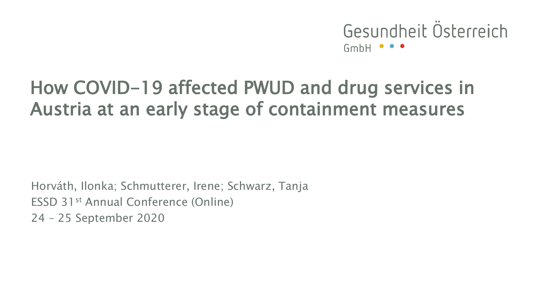Gesundheit Österreich  $GmbH$   $\bullet$ 

# How COVID-19 affected PWUD and drug services in Austria at an early stage of containment measures

Horváth, Ilonka; Schmutterer, Irene; Schwarz, Tanja ESSD 31st Annual Conference (Online) 24 – 25 September 2020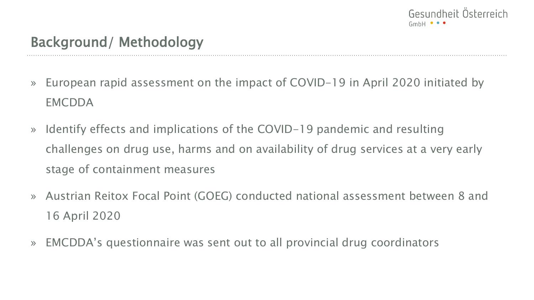

- » European rapid assessment on the impact of COVID-19 in April 2020 initiated by **EMCDDA**
- » Identify effects and implications of the COVID-19 pandemic and resulting challenges on drug use, harms and on availability of drug services at a very early stage of containment measures
- » Austrian Reitox Focal Point (GOEG) conducted national assessment between 8 and 16 April 2020
- » EMCDDA's questionnaire was sent out to all provincial drug coordinators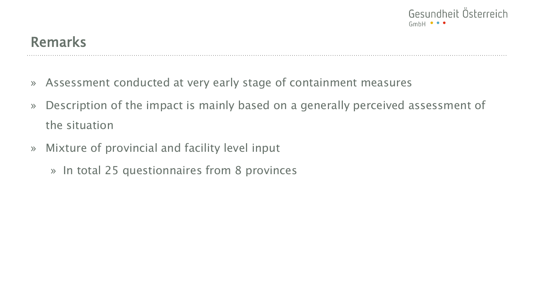

### Remarks

- » Assessment conducted at very early stage of containment measures
- » Description of the impact is mainly based on a generally perceived assessment of the situation
- » Mixture of provincial and facility level input
	- » In total 25 questionnaires from 8 provinces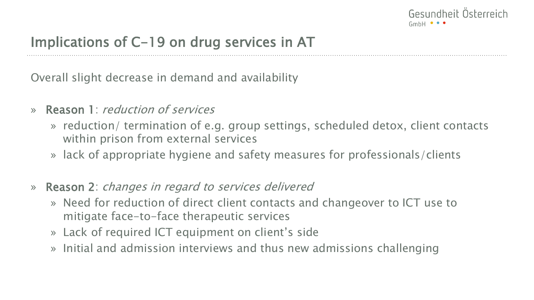

Overall slight decrease in demand and availability

- » Reason 1: reduction of services
	- » reduction/ termination of e.g. group settings, scheduled detox, client contacts within prison from external services
	- » lack of appropriate hygiene and safety measures for professionals/clients
- » Reason 2: changes in regard to services delivered
	- » Need for reduction of direct client contacts and changeover to ICT use to mitigate face-to-face therapeutic services
	- » Lack of required ICT equipment on client's side
	- » Initial and admission interviews and thus new admissions challenging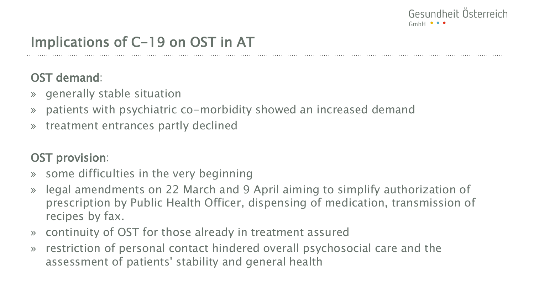

# Implications of C-19 on OST in AT

OST demand:

- » generally stable situation
- » patients with psychiatric co-morbidity showed an increased demand
- » treatment entrances partly declined

#### OST provision:

- » some difficulties in the very beginning
- » legal amendments on 22 March and 9 April aiming to simplify authorization of prescription by Public Health Officer, dispensing of medication, transmission of recipes by fax.
- » continuity of OST for those already in treatment assured
- » restriction of personal contact hindered overall psychosocial care and the assessment of patients' stability and general health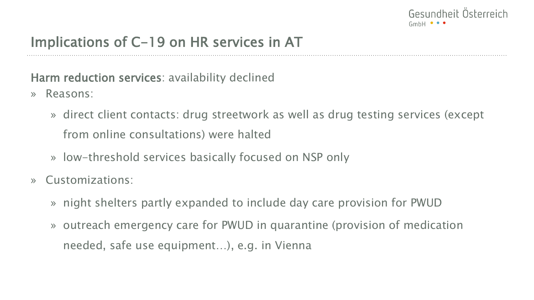

Harm reduction services: availability declined

- » Reasons:
	- » direct client contacts: drug streetwork as well as drug testing services (except from online consultations) were halted
	- » low-threshold services basically focused on NSP only
- » Customizations:
	- » night shelters partly expanded to include day care provision for PWUD
	- » outreach emergency care for PWUD in quarantine (provision of medication needed, safe use equipment…), e.g. in Vienna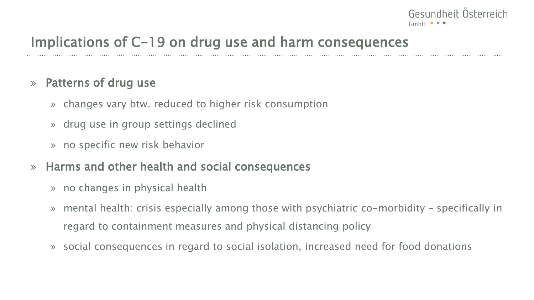

# Implications of C-19 on drug use and harm consequences

#### » Patterns of drug use

- » changes vary btw. reduced to higher risk consumption
- » drug use in group settings declined
- » no specific new risk behavior
- » Harms and other health and social consequences
	- » no changes in physical health
	- » mental health: crisis especially among those with psychiatric co-morbidity specifically in regard to containment measures and physical distancing policy
	- » social consequences in regard to social isolation, increased need for food donations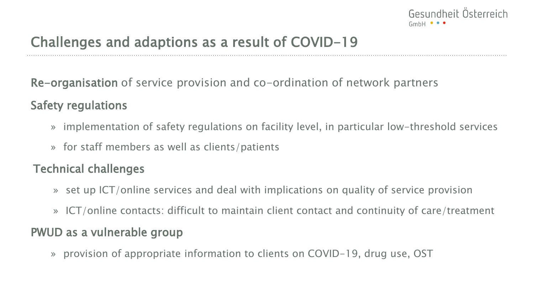

# Challenges and adaptions as a result of COVID-19

Re-organisation of service provision and co-ordination of network partners

#### Safety regulations

- » implementation of safety regulations on facility level, in particular low-threshold services
- » for staff members as well as clients/patients

#### Technical challenges

- » set up ICT/online services and deal with implications on quality of service provision
- » ICT/online contacts: difficult to maintain client contact and continuity of care/treatment

#### PWUD as a vulnerable group

» provision of appropriate information to clients on COVID-19, drug use, OST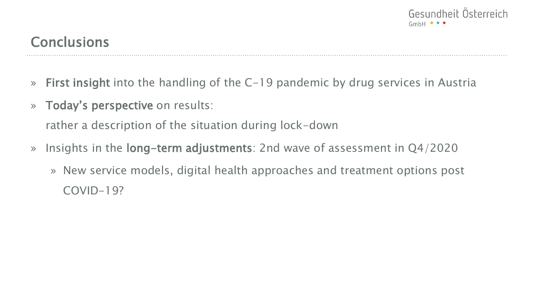

## **Conclusions**

- » First insight into the handling of the C-19 pandemic by drug services in Austria
- » Today's perspective on results:

rather a description of the situation during lock-down

- » Insights in the long-term adjustments: 2nd wave of assessment in Q4/2020
	- » New service models, digital health approaches and treatment options post COVID-19?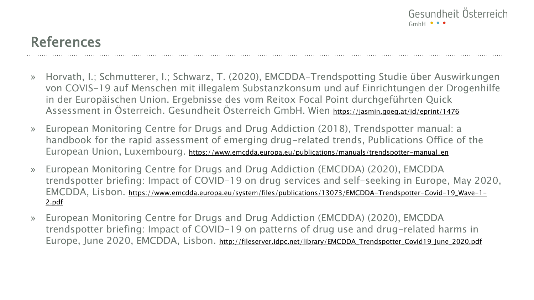

## References

- » Horvath, I.; Schmutterer, I.; Schwarz, T. (2020), EMCDDA-Trendspotting Studie über Auswirkungen von COVIS-19 auf Menschen mit illegalem Substanzkonsum und auf Einrichtungen der Drogenhilfe in der Europäischen Union. Ergebnisse des vom Reitox Focal Point durchgeführten Quick Assessment in Österreich. Gesundheit Österreich GmbH. Wien <https://jasmin.goeg.at/id/eprint/1476>
- » European Monitoring Centre for Drugs and Drug Addiction (2018), Trendspotter manual: a handbook for the rapid assessment of emerging drug-related trends, Publications Office of the European Union, Luxembourg. [https://www.emcdda.europa.eu/publications/manuals/trendspotter-manual\\_en](https://www.emcdda.europa.eu/publications/manuals/trendspotter-manual_en)
- » European Monitoring Centre for Drugs and Drug Addiction (EMCDDA) (2020), EMCDDA trendspotter briefing: Impact of COVID-19 on drug services and self-seeking in Europe, May 2020, EMCDDA, Lisbon. [https://www.emcdda.europa.eu/system/files/publications/13073/EMCDDA-Trendspotter-Covid-19\\_Wave-1-](https://www.emcdda.europa.eu/system/files/publications/13073/EMCDDA-Trendspotter-Covid-19_Wave-1-2.pdf) 2.pdf
- » European Monitoring Centre for Drugs and Drug Addiction (EMCDDA) (2020), EMCDDA trendspotter briefing: Impact of COVID-19 on patterns of drug use and drug-related harms in Europe, June 2020, EMCDDA, Lisbon. [http://fileserver.idpc.net/library/EMCDDA\\_Trendspotter\\_Covid19\\_June\\_2020.pdf](http://fileserver.idpc.net/library/EMCDDA_Trendspotter_Covid19_June_2020.pdf)